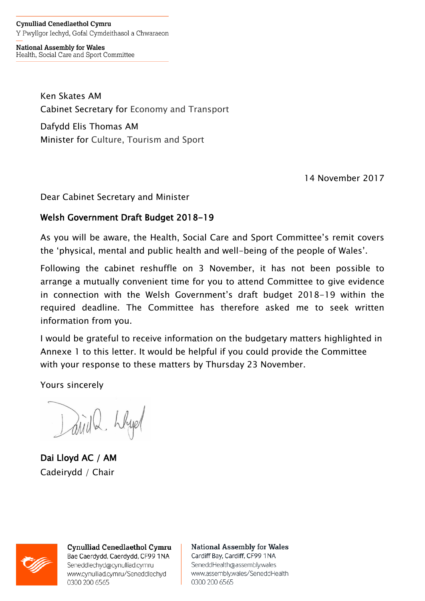**Cynulliad Cenedlaethol Cymru** Y Pwyllgor Iechyd, Gofal Cymdeithasol a Chwaraeon

**National Assembly for Wales** Health, Social Care and Sport Committee

> Ken Skates AM Cabinet Secretary for Economy and Transport Dafydd Elis Thomas AM Minister for Culture, Tourism and Sport

> > 14 November 2017

Dear Cabinet Secretary and Minister

## Welsh Government Draft Budget 2018-19

As you will be aware, the Health, Social Care and Sport Committee's remit covers the 'physical, mental and public health and well-being of the people of Wales'.

Following the cabinet reshuffle on 3 November, it has not been possible to arrange a mutually convenient time for you to attend Committee to give evidence in connection with the Welsh Government's draft budget 2018-19 within the required deadline. The Committee has therefore asked me to seek written information from you.

I would be grateful to receive information on the budgetary matters highlighted in Annexe 1 to this letter. It would be helpful if you could provide the Committee with your response to these matters by Thursday 23 November.

Yours sincerely

David 2 hbyd

Dai Lloyd AC / AM Cadeirydd / Chair



**Cynulliad Cenedlaethol Cymru** Bae Caerdydd, Caerdydd, CF99 1NA Seneddlechyd@cynulliad.cymru www.cynulliad.cymru/Seneddlechyd 0300 200 6565

**National Assembly for Wales** Cardiff Bay, Cardiff, CF99 1NA SeneddHealth@assembly.wales www.assembly.wales/SeneddHealth 0300 200 6565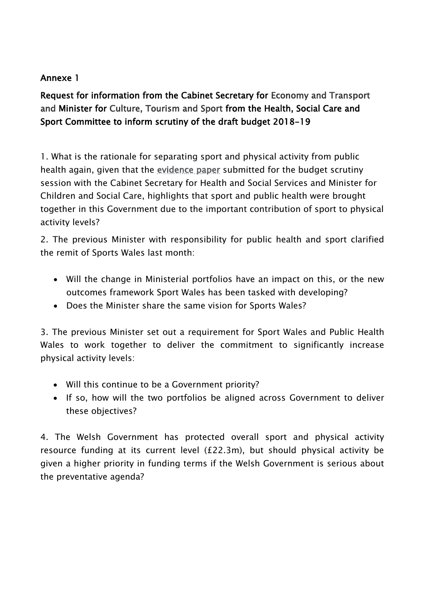## Annexe 1

Request for information from the Cabinet Secretary for Economy and Transport and Minister for Culture, Tourism and Sport from the Health, Social Care and Sport Committee to inform scrutiny of the draft budget 2018-19

1. What is the rationale for separating sport and physical activity from public health again, given that the [evidence paper](http://senedd.assembly.wales/documents/s68402/Paper%201%20-%20Submission%20from%20the%20Welsh%20Government.pdf) submitted for the budget scrutiny session with the Cabinet Secretary for Health and Social Services and Minister for Children and Social Care, highlights that sport and public health were brought together in this Government due to the important contribution of sport to physical activity levels?

2. The previous Minister with responsibility for public health and sport clarified the remit of Sports Wales last month:

- Will the change in Ministerial portfolios have an impact on this, or the new outcomes framework Sport Wales has been tasked with developing?
- Does the Minister share the same vision for Sports Wales?

3. The previous Minister set out a requirement for Sport Wales and Public Health Wales to work together to deliver the commitment to significantly increase physical activity levels:

- Will this continue to be a Government priority?
- If so, how will the two portfolios be aligned across Government to deliver these objectives?

4. The Welsh Government has protected overall sport and physical activity resource funding at its current level (£22.3m), but should physical activity be given a higher priority in funding terms if the Welsh Government is serious about the preventative agenda?